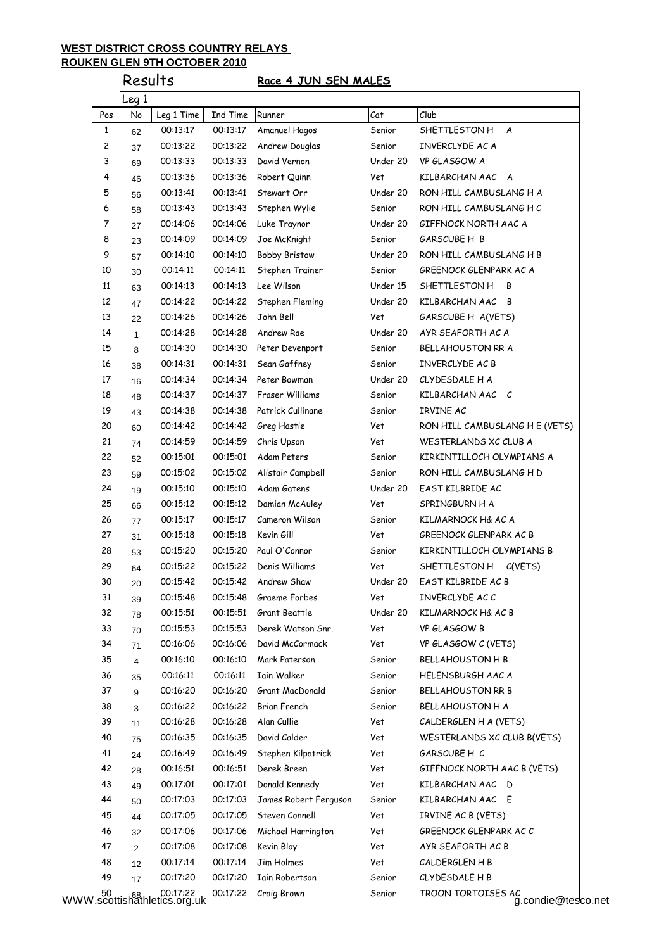# Results **Race 4 JUN SEN MALES**

| Pos      | Leg 1<br>No    | Leg 1 Time | Ind Time | Runner                | Cat      | Club                           |
|----------|----------------|------------|----------|-----------------------|----------|--------------------------------|
| 1        | 62             | 00:13:17   | 00:13:17 | Amanuel Hagos         | Senior   | SHETTLESTON H<br>A             |
| 2        |                | 00:13:22   | 00:13:22 | Andrew Douglas        | Senior   | INVERCLYDE AC A                |
| 3        | 37             | 00:13:33   | 00:13:33 | David Vernon          | Under 20 | VP GLASGOW A                   |
| 4        | 69             | 00:13:36   | 00:13:36 | Robert Quinn          | Vet      | KILBARCHAN AAC A               |
|          | 46             |            |          |                       |          |                                |
| 5        | 56             | 00:13:41   | 00:13:41 | Stewart Orr           | Under 20 | RON HILL CAMBUSLANG H A        |
| 6        | 58             | 00:13:43   | 00:13:43 | Stephen Wylie         | Senior   | RON HILL CAMBUSLANG H C        |
| 7        | 27             | 00:14:06   | 00:14:06 | Luke Traynor          | Under 20 | GIFFNOCK NORTH AAC A           |
| 8        | 23             | 00:14:09   | 00:14:09 | Joe McKnight          | Senior   | GARSCUBE H B                   |
| 9        | 57             | 00:14:10   | 00:14:10 | <b>Bobby Bristow</b>  | Under 20 | RON HILL CAMBUSLANG H B        |
| 10       | 30             | 00:14:11   | 00:14:11 | Stephen Trainer       | Senior   | GREENOCK GLENPARK AC A         |
| 11       | 63             | 00:14:13   | 00:14:13 | Lee Wilson            | Under 15 | SHETTLESTON H<br>В             |
| 12       | 47             | 00:14:22   | 00:14:22 | Stephen Fleming       | Under 20 | KILBARCHAN AAC B               |
| 13       | 22             | 00:14:26   | 00:14:26 | John Bell             | Vet      | GARSCUBE H A(VETS)             |
| 14       | $\mathbf{1}$   | 00:14:28   | 00:14:28 | Andrew Rae            | Under 20 | AYR SEAFORTH AC A              |
| 15       | 8              | 00:14:30   | 00:14:30 | Peter Devenport       | Senior   | BELLAHOUSTON RR A              |
| 16       | 38             | 00:14:31   | 00:14:31 | Sean Gaffney          | Senior   | INVERCLYDE AC B                |
| 17       | 16             | 00:14:34   | 00:14:34 | Peter Bowman          | Under 20 | CLYDESDALE H A                 |
| 18       | 48             | 00:14:37   | 00:14:37 | Fraser Williams       | Senior   | KILBARCHAN AAC C               |
| 19       | 43             | 00:14:38   | 00:14:38 | Patrick Cullinane     | Senior   | IRVINE AC                      |
| 20       | 60             | 00:14:42   | 00:14:42 | Greg Hastie           | Vet      | RON HILL CAMBUSLANG H E (VETS) |
| 21       | 74             | 00:14:59   | 00:14:59 | Chris Upson           | Vet      | WESTERLANDS XC CLUB A          |
| 22       | 52             | 00:15:01   | 00:15:01 | Adam Peters           | Senior   | KIRKINTILLOCH OLYMPIANS A      |
| 23       | 59             | 00:15:02   | 00:15:02 | Alistair Campbell     | Senior   | RON HILL CAMBUSLANG H D        |
| 24       | 19             | 00:15:10   | 00:15:10 | Adam Gatens           | Under 20 | EAST KILBRIDE AC               |
| 25       | 66             | 00:15:12   | 00:15:12 | Damian McAuley        | Vet      | SPRINGBURN H A                 |
| 26       | 77             | 00:15:17   | 00:15:17 | Cameron Wilson        | Senior   | KILMARNOCK H& AC A             |
| 27       | 31             | 00:15:18   | 00:15:18 | Kevin Gill            | Vet      | GREENOCK GLENPARK AC B         |
| 28       | 53             | 00:15:20   | 00:15:20 | Paul O'Connor         | Senior   | KIRKINTILLOCH OLYMPIANS B      |
| 29       | 64             | 00:15:22   | 00:15:22 | Denis Williams        | Vet      | SHETTLESTON H<br>C(VETS)       |
| 30       | 20             | 00:15:42   | 00:15:42 | Andrew Shaw           | Under 20 | EAST KILBRIDE AC B             |
| 31       | 39             | 00:15:48   | 00:15:48 | Graeme Forbes         | Vet      | INVERCLYDE ACC                 |
| 32       | 78             | 00:15:51   | 00:15:51 | Grant Beattie         | Under 20 | KILMARNOCK H& AC B             |
| 33       | 70             | 00:15:53   | 00:15:53 | Derek Watson Snr.     | Vet      | VP GLASGOW B                   |
| 34       | 71             | 00:16:06   | 00:16:06 | David McCormack       | Vet      | VP GLASGOW C (VETS)            |
| 35       | 4              | 00:16:10   | 00:16:10 | Mark Paterson         | Senior   | <b>BELLAHOUSTON H B</b>        |
| 36       |                | 00:16:11   | 00:16:11 | Iain Walker           | Senior   | HELENSBURGH AAC A              |
| 37       | 35<br>9        | 00:16:20   | 00:16:20 | Grant MacDonald       | Senior   | <b>BELLAHOUSTON RR B</b>       |
| 38       |                | 00:16:22   | 00:16:22 | Brian French          | Senior   | <b>BELLAHOUSTON H A</b>        |
| 39       | 3<br>11        | 00:16:28   | 00:16:28 | Alan Cullie           | Vet      | CALDERGLEN H A (VETS)          |
| 40       |                | 00:16:35   | 00:16:35 | David Calder          | Vet      | WESTERLANDS XC CLUB B(VETS)    |
| 41       | 75             | 00:16:49   | 00:16:49 | Stephen Kilpatrick    | Vet      | GARSCUBE H-C                   |
|          | 24             |            |          |                       |          |                                |
| 42       | 28             | 00:16:51   | 00:16:51 | Derek Breen           | Vet      | GIFFNOCK NORTH AAC B (VETS)    |
| 43       | 49             | 00:17:01   | 00:17:01 | Donald Kennedy        | Vet      | KILBARCHAN AAC D               |
| 44       | 50             | 00:17:03   | 00:17:03 | James Robert Ferguson | Senior   | KILBARCHAN AAC E               |
| 45       | 44             | 00:17:05   | 00:17:05 | Steven Connell        | Vet      | IRVINE AC B (VETS)             |
| 46       | 32             | 00:17:06   | 00:17:06 | Michael Harrington    | Vet      | GREENOCK GLENPARK AC C         |
| 47       | $\overline{2}$ | 00:17:08   | 00:17:08 | Kevin Bloy            | Vet      | AYR SEAFORTH AC B              |
|          | 12             | 00:17:14   | 00:17:14 | Jim Holmes            | Vet      | CALDERGLEN H B                 |
| 48<br>49 |                | 00:17:20   | 00:17:20 | Iain Robertson        | Senior   | CLYDESDALE H B                 |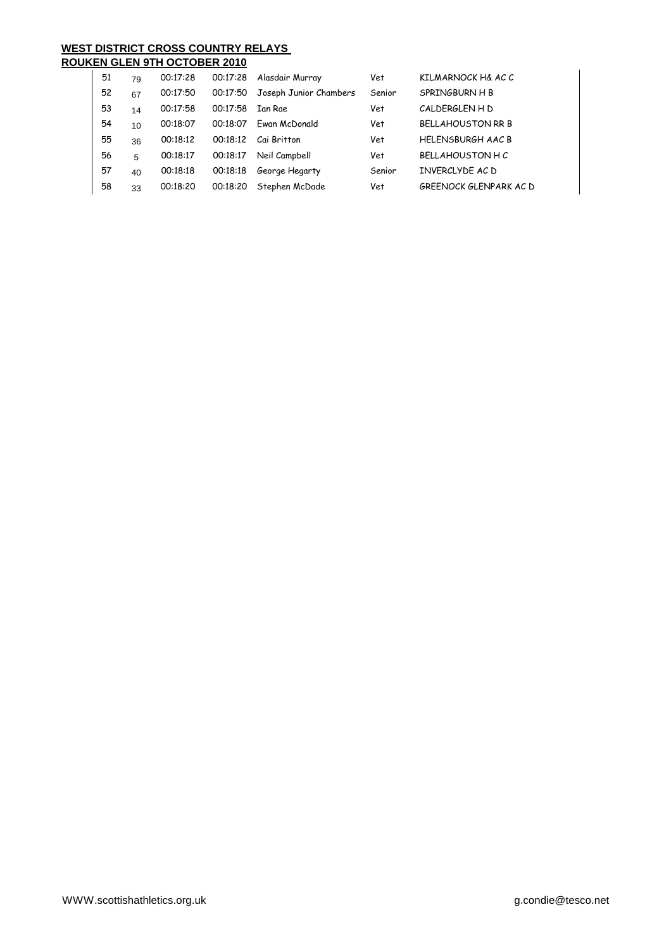| 51 | 79 | 00:17:28 | 00:17:28 | Alasdair Murray        | Vet    | KILMARNOCK H& AC C       |
|----|----|----------|----------|------------------------|--------|--------------------------|
| 52 | 67 | 00:17:50 | 00:17:50 | Joseph Junior Chambers | Senior | SPRINGBURN H B           |
| 53 | 14 | 00:17:58 | 00:17:58 | <b>Ian Rae</b>         | Vet    | CALDERGLEN H D           |
| 54 | 10 | 00:18:07 | 00:18:07 | Fwan McDonald          | Vet    | <b>BELLAHOUSTON RR B</b> |
| 55 | 36 | 00:18:12 | 00:18:12 | Cai Britton            | Vet    | <b>HELENSBURGH AAC B</b> |
| 56 | 5  | 00:18:17 | 00:18:17 | Neil Campbell          | Vet    | <b>BELLAHOUSTON H C</b>  |
| 57 | 40 | 00:18:18 | 00:18:18 | George Hegarty         | Senior | INVERCLYDE AC D          |
| 58 | 33 | 00:18:20 | 00:18:20 | Stephen McDade         | Vet    | GREENOCK GLENPARK AC D   |
|    |    |          |          |                        |        |                          |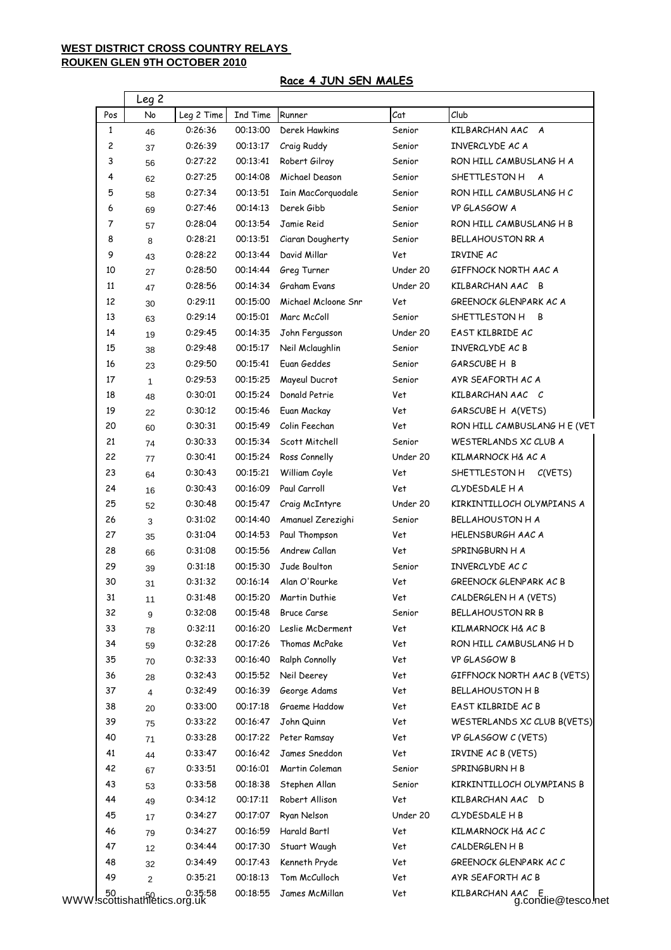## **Race 4 JUN SEN MALES**

| Pos          | No           | Leg 2 Time | Ind Time | Runner                         | Cat           | Club                                       |
|--------------|--------------|------------|----------|--------------------------------|---------------|--------------------------------------------|
| $\mathbf{1}$ | 46           | 0:26:36    | 00:13:00 | Derek Hawkins                  | Senior        | KILBARCHAN AAC A                           |
| 2            | 37           | 0:26:39    | 00:13:17 | Craig Ruddy                    | Senior        | INVERCLYDE AC A                            |
| 3            | 56           | 0:27:22    | 00:13:41 | Robert Gilroy                  | Senior        | RON HILL CAMBUSLANG H A                    |
| 4            | 62           | 0:27:25    | 00:14:08 | Michael Deason                 | Senior        | SHETTLESTON H<br>A                         |
| 5            | 58           | 0:27:34    | 00:13:51 | Iain MacCorquodale             | Senior        | RON HILL CAMBUSLANG HC                     |
| 6            | 69           | 0:27:46    | 00:14:13 | Derek Gibb                     | Senior        | VP GLASGOW A                               |
| 7            | 57           | 0:28:04    | 00:13:54 | Jamie Reid                     | Senior        | RON HILL CAMBUSLANG H B                    |
| 8            | 8            | 0:28:21    | 00:13:51 | Ciaran Dougherty               | Senior        | BELLAHOUSTON RR A                          |
| 9            | 43           | 0:28:22    | 00:13:44 | David Millar                   | Vet           | IRVINE AC                                  |
| 10           | 27           | 0:28:50    | 00:14:44 | Greg Turner                    | Under 20      | GIFFNOCK NORTH AAC A                       |
| 11           | 47           | 0:28:56    | 00:14:34 | Graham Evans                   | Under 20      | KILBARCHAN AAC B                           |
| 12           | 30           | 0:29:11    | 00:15:00 | Michael Mcloone Snr            | Vet           | GREENOCK GLENPARK AC A                     |
| 13           | 63           | 0:29:14    | 00:15:01 | Marc McColl                    | Senior        | SHETTLESTON H<br>B                         |
| 14           | 19           | 0:29:45    | 00:14:35 | John Fergusson                 | Under 20      | EAST KILBRIDE AC                           |
| 15           | 38           | 0:29:48    | 00:15:17 | Neil Mclaughlin                | Senior        | INVERCLYDE AC B                            |
| 16           | 23           | 0:29:50    | 00:15:41 | Euan Geddes                    | Senior        | GARSCUBE H B                               |
| 17           | $\mathbf{1}$ | 0:29:53    | 00:15:25 | Mayeul Ducrot                  | Senior        | AYR SEAFORTH AC A                          |
| 18           |              | 0:30:01    | 00:15:24 | Donald Petrie                  | Vet           | KILBARCHAN AAC C                           |
| 19           | 48           | 0:30:12    | 00:15:46 | Euan Mackay                    | Vet           | GARSCUBE H A(VETS)                         |
| 20           | 22<br>60     | 0:30:31    | 00:15:49 | Colin Feechan                  | Vet           | RON HILL CAMBUSLANG H E (VET               |
| 21           |              | 0:30:33    | 00:15:34 | Scott Mitchell                 | Senior        | WESTERLANDS XC CLUB A                      |
| 22           | 74           | 0:30:41    | 00:15:24 | Ross Connelly                  | Under 20      | KILMARNOCK H& AC A                         |
| 23           | 77           | 0:30:43    | 00:15:21 | William Coyle                  | Vet           | SHETTLESTON H C(VETS)                      |
| 24           | 64           | 0:30:43    | 00:16:09 | Paul Carroll                   | Vet           | CLYDESDALE H A                             |
| 25           | 16           | 0:30:48    | 00:15:47 |                                | Under 20      | KIRKINTILLOCH OLYMPIANS A                  |
| 26           | 52           | 0:31:02    | 00:14:40 | Craig McIntyre                 |               | <b>BELLAHOUSTON H A</b>                    |
| 27           | 3            | 0:31:04    | 00:14:53 | Amanuel Zerezighi              | Senior<br>Vet |                                            |
| 28           | 35           | 0:31:08    | 00:15:56 | Paul Thompson<br>Andrew Callan | Vet           | <b>HELENSBURGH AAC A</b><br>SPRINGBURN H A |
| 29           | 66           | 0:31:18    | 00:15:30 | Jude Boulton                   | Senior        |                                            |
|              | 39           |            |          | Alan O'Rourke                  |               | INVERCLYDE AC C<br>GREENOCK GLENPARK AC B  |
| 30           | 31           | 0:31:32    | 00:16:14 |                                | Vet           |                                            |
| 31           | 11           | 0:31:48    | 00:15:20 | Martin Duthie                  | Vet           | CALDERGLEN H A (VETS)                      |
| 32           | 9            | 0:32:08    | 00:15:48 | <b>Bruce Carse</b>             | Senior        | <b>BELLAHOUSTON RR B</b>                   |
| 33           | 78           | 0:32:11    | 00:16:20 | Leslie McDerment               | Vet           | KILMARNOCK H& AC B                         |
| 34           | 59           | 0:32:28    | 00:17:26 | Thomas McPake                  | Vet           | RON HILL CAMBUSLANG H D                    |
| 35           | 70           | 0:32:33    | 00:16:40 | Ralph Connolly                 | Vet           | VP GLASGOW B                               |
| 36           | 28           | 0:32:43    | 00:15:52 | Neil Deerey                    | Vet           | GIFFNOCK NORTH AAC B (VETS)                |
| 37           | 4            | 0:32:49    | 00:16:39 | George Adams                   | Vet           | <b>BELLAHOUSTON H B</b>                    |
| 38           | 20           | 0:33:00    | 00:17:18 | Graeme Haddow                  | Vet           | EAST KILBRIDE AC B                         |
| 39           | 75           | 0:33:22    | 00:16:47 | John Quinn                     | Vet           | WESTERLANDS XC CLUB B(VETS)                |
| 40           | 71           | 0:33:28    | 00:17:22 | Peter Ramsay                   | Vet           | VP GLASGOW C (VETS)                        |
| 41           | 44           | 0:33:47    | 00:16:42 | James Sneddon                  | Vet           | IRVINE AC B (VETS)                         |
| 42           | 67           | 0:33:51    | 00:16:01 | Martin Coleman                 | Senior        | SPRINGBURN H B                             |
| 43           | 53           | 0:33:58    | 00:18:38 | Stephen Allan                  | Senior        | KIRKINTILLOCH OLYMPIANS B                  |
| 44           | 49           | 0:34:12    | 00:17:11 | Robert Allison                 | Vet           | KILBARCHAN AAC D                           |
| 45           | 17           | 0:34:27    | 00:17:07 | Ryan Nelson                    | Under 20      | CLYDESDALE H B                             |
| 46           | 79           | 0:34:27    | 00:16:59 | Harald Bartl                   | Vet           | KILMARNOCK H& AC C                         |
| 47           | 12           | 0:34:44    | 00:17:30 | Stuart Waugh                   | Vet           | CALDERGLEN H B                             |
| 48           | 32           | 0:34:49    | 00:17:43 | Kenneth Pryde                  | Vet           | GREENOCK GLENPARK AC C                     |
| 49           |              | 0:35:21    | 00:18:13 | Tom McCulloch                  | Vet           | AYR SEAFORTH AC B                          |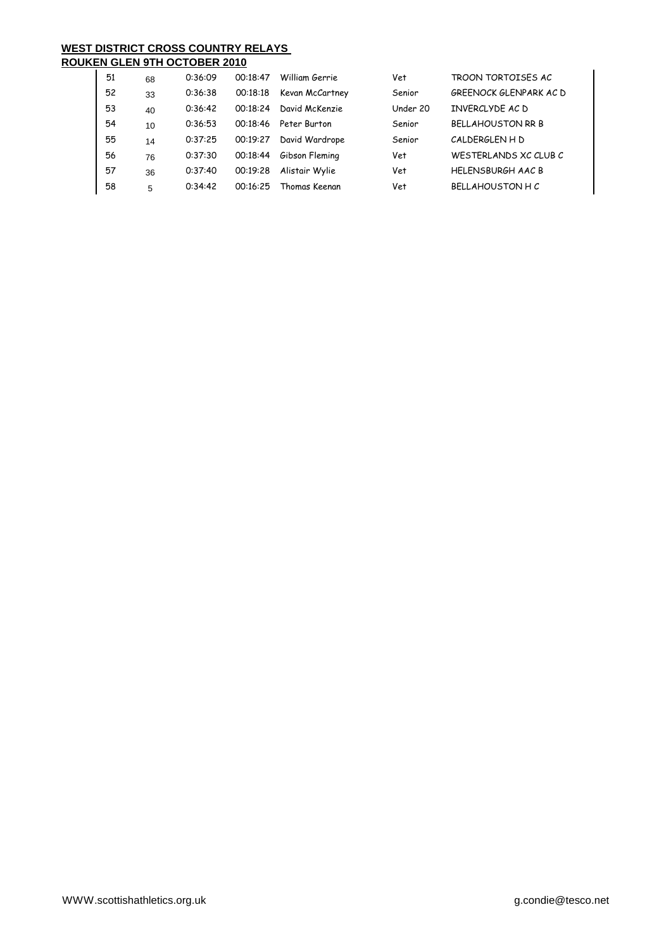# **WEST DISTRICT CROSS COUNTRY RELAYS**

| 51 | 68 | 0:36:09 | 00:18:47 | William Gerrie  | Vet      | TROON TORTOISES AC       |
|----|----|---------|----------|-----------------|----------|--------------------------|
| 52 | 33 | 0:36:38 | 00:18:18 | Kevan McCartney | Senior   | GREENOCK GLENPARK AC D   |
| 53 | 40 | 0:36:42 | 00:18:24 | David McKenzie  | Under 20 | INVERCLYDE AC D          |
| 54 | 10 | 0:36:53 | 00:18:46 | Peter Burton    | Senior   | <b>BFLLAHOUSTON RR B</b> |
| 55 | 14 | 0:37:25 | 00:19:27 | David Wardrope  | Senior   | CALDERGLEN H D           |
| 56 | 76 | 0:37:30 | 00:18:44 | Gibson Fleming  | Vet      | WESTERLANDS XC CLUB C    |
| 57 | 36 | 0:37:40 | 00:19:28 | Alistair Wylie  | Vet      | <b>HFLFNSBURGH AAC B</b> |
| 58 | 5  | 0:34:42 | 00:16:25 | Thomas Keenan   | Vet      | BFILAHOUSTON HC          |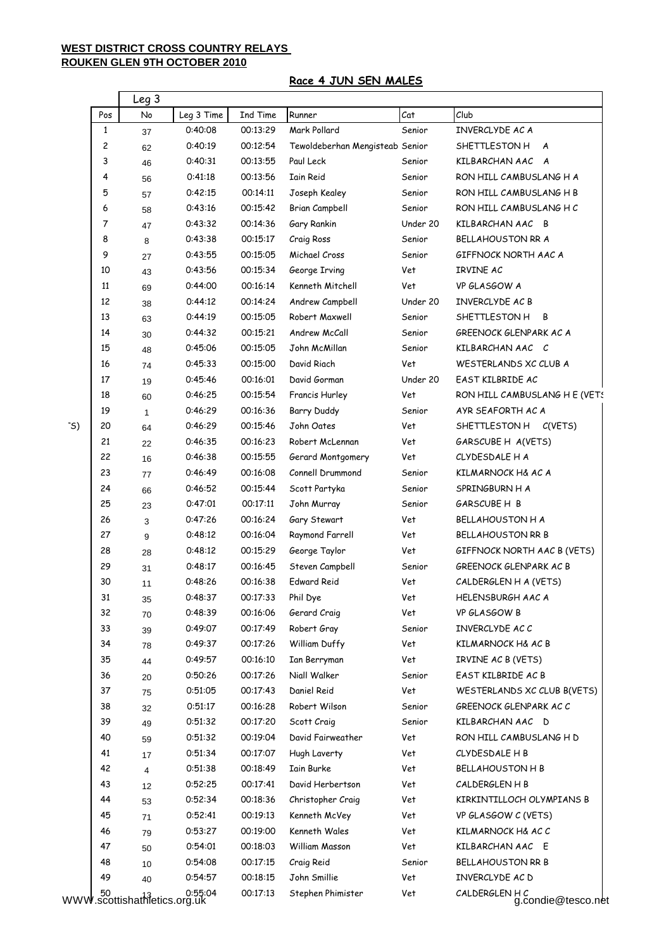### **Race 4 JUN SEN MALES**

|              |                         | Leg 3                                  |            |          |                                 |          |                               |
|--------------|-------------------------|----------------------------------------|------------|----------|---------------------------------|----------|-------------------------------|
|              | Pos                     | No                                     | Leg 3 Time | Ind Time | Runner                          | Cat      | Club                          |
|              | $\mathbf{1}$            | 37                                     | 0:40:08    | 00:13:29 | Mark Pollard                    | Senior   | INVERCLYDE AC A               |
|              | $\overline{\mathbf{c}}$ | 62                                     | 0:40:19    | 00:12:54 | Tewoldeberhan Mengisteab Senior |          | SHETTLESTON H A               |
|              | 3                       | 46                                     | 0:40:31    | 00:13:55 | Paul Leck                       | Senior   | KILBARCHAN AAC A              |
|              | 4                       | 56                                     | 0:41:18    | 00:13:56 | <b>Iain Reid</b>                | Senior   | RON HILL CAMBUSLANG H A       |
|              | 5                       | 57                                     | 0:42:15    | 00:14:11 | Joseph Kealey                   | Senior   | RON HILL CAMBUSLANG H B       |
|              | 6                       | 58                                     | 0:43:16    | 00:15:42 | Brian Campbell                  | Senior   | RON HILL CAMBUSLANG H C       |
|              | $\overline{7}$          | 47                                     | 0:43:32    | 00:14:36 | Gary Rankin                     | Under 20 | KILBARCHAN AAC B              |
|              | 8                       | 8                                      | 0:43:38    | 00:15:17 | Craig Ross                      | Senior   | <b>BELLAHOUSTON RR A</b>      |
|              | 9                       | 27                                     | 0:43:55    | 00:15:05 | Michael Cross                   | Senior   | GIFFNOCK NORTH AAC A          |
|              | 10                      | 43                                     | 0:43:56    | 00:15:34 | George Irving                   | Vet      | IRVINE AC                     |
|              | 11                      | 69                                     | 0:44:00    | 00:16:14 | Kenneth Mitchell                | Vet      | VP GLASGOW A                  |
|              | 12                      | 38                                     | 0:44:12    | 00:14:24 | Andrew Campbell                 | Under 20 | INVERCLYDE AC B               |
|              | 13                      | 63                                     | 0:44:19    | 00:15:05 | Robert Maxwell                  | Senior   | SHETTLESTON H B               |
|              | 14                      | 30                                     | 0:44:32    | 00:15:21 | Andrew McCall                   | Senior   | GREENOCK GLENPARK AC A        |
|              | 15                      | 48                                     | 0:45:06    | 00:15:05 | John McMillan                   | Senior   | KILBARCHAN AACOC              |
|              | 16                      | 74                                     | 0:45:33    | 00:15:00 | David Riach                     | Vet      | WESTERLANDS XC CLUB A         |
|              | 17                      | 19                                     | 0:45:46    | 00:16:01 | David Gorman                    | Under 20 | EAST KILBRIDE AC              |
|              | 18                      | 60                                     | 0:46:25    | 00:15:54 | Francis Hurley                  | Vet      | RON HILL CAMBUSLANG H E (VETS |
|              | 19                      | $\mathbf{1}$                           | 0:46:29    | 00:16:36 | Barry Duddy                     | Senior   | AYR SEAFORTH AC A             |
| $\mathsf{S}$ | 20                      | 64                                     | 0:46:29    | 00:15:46 | John Oates                      | Vet      | SHETTLESTON H C(VETS)         |
|              | 21                      | 22                                     | 0:46:35    | 00:16:23 | Robert McLennan                 | Vet      | GARSCUBE H A(VETS)            |
|              | 22                      | 16                                     | 0:46:38    | 00:15:55 | Gerard Montgomery               | Vet      | CLYDESDALE H A                |
|              | 23                      | 77                                     | 0:46:49    | 00:16:08 | Connell Drummond                | Senior   | KILMARNOCK H& AC A            |
|              | 24                      | 66                                     | 0:46:52    | 00:15:44 | Scott Partyka                   | Senior   | SPRINGBURN H A                |
|              | 25                      | 23                                     | 0:47:01    | 00:17:11 | John Murray                     | Senior   | GARSCUBE H B                  |
|              | 26                      | 3                                      | 0:47:26    | 00:16:24 | Gary Stewart                    | Vet      | BELLAHOUSTON H A              |
|              | 27                      | 9                                      | 0:48:12    | 00:16:04 | Raymond Farrell                 | Vet      | BELLAHOUSTON RR B             |
|              | 28                      | 28                                     | 0:48:12    | 00:15:29 | George Taylor                   | Vet      | GIFFNOCK NORTH AAC B (VETS)   |
|              | 29                      | 31                                     | 0:48:17    | 00:16:45 | Steven Campbell                 | Senior   | GREENOCK GLENPARK AC B        |
|              | 30                      | 11                                     | 0:48:26    | 00:16:38 | <b>Edward Reid</b>              | Vet      | CALDERGLEN H A (VETS)         |
|              | 31                      | 35                                     | 0:48:37    | 00:17:33 | Phil Dye                        | Vet      | HELENSBURGH AAC A             |
|              | 32                      | 70                                     | 0:48:39    | 00:16:06 | Gerard Craig                    | Vet      | VP GLASGOW B                  |
|              | 33                      | 39                                     | 0:49:07    | 00:17:49 | Robert Gray                     | Senior   | INVERCLYDE ACC                |
|              | 34                      | 78                                     | 0:49:37    | 00:17:26 | William Duffy                   | Vet      | KILMARNOCK H& AC B            |
|              | 35                      | 44                                     | 0:49:57    | 00:16:10 | Ian Berryman                    | Vet      | IRVINE AC B (VETS)            |
|              | 36                      | 20                                     | 0:50:26    | 00:17:26 | Niall Walker                    | Senior   | EAST KILBRIDE AC B            |
|              | 37                      | 75                                     | 0:51:05    | 00:17:43 | Daniel Reid                     | Vet      | WESTERLANDS XC CLUB B(VETS)   |
|              | 38                      | 32                                     | 0:51:17    | 00:16:28 | Robert Wilson                   | Senior   | GREENOCK GLENPARK ACC         |
|              | 39                      | 49                                     | 0:51:32    | 00:17:20 | Scott Craig                     | Senior   | KILBARCHAN AAC D              |
|              | 40                      | 59                                     | 0:51:32    | 00:19:04 | David Fairweather               | Vet      | RON HILL CAMBUSLANG H D       |
|              | 41                      | 17                                     | 0:51:34    | 00:17:07 | Hugh Laverty                    | Vet      | CLYDESDALE H B                |
|              | 42                      | 4                                      | 0:51:38    | 00:18:49 | <b>Iain Burke</b>               | Vet      | <b>BELLAHOUSTON H B</b>       |
|              | 43                      | 12                                     | 0:52:25    | 00:17:41 | David Herbertson                | Vet      | CALDERGLEN H B                |
|              | 44                      | 53                                     | 0:52:34    | 00:18:36 | Christopher Craig               | Vet      | KIRKINTILLOCH OLYMPIANS B     |
|              | 45                      | 71                                     | 0:52:41    | 00:19:13 | Kenneth McVey                   | Vet      | VP GLASGOW C (VETS)           |
|              | 46                      | 79                                     | 0:53:27    | 00:19:00 | Kenneth Wales                   | Vet      | KILMARNOCK H& AC C            |
|              | 47                      | 50                                     | 0:54:01    | 00:18:03 | William Masson                  | Vet      | KILBARCHAN AAC E              |
|              | 48                      | 10                                     | 0:54:08    | 00:17:15 | Craig Reid                      | Senior   | BELLAHOUSTON RR B             |
|              | 49                      | 40                                     | 0:54:57    | 00:18:15 | John Smillie                    | Vet      | INVERCLYDE AC D               |
|              |                         |                                        | 0:55:04    | 00:17:13 | Stephen Phimister               | Vet      | CALDERGLEN HC                 |
|              |                         | 0:55:0<br>WWW.scottishathletics.org.uk |            |          |                                 |          | g.condie@tesco.net            |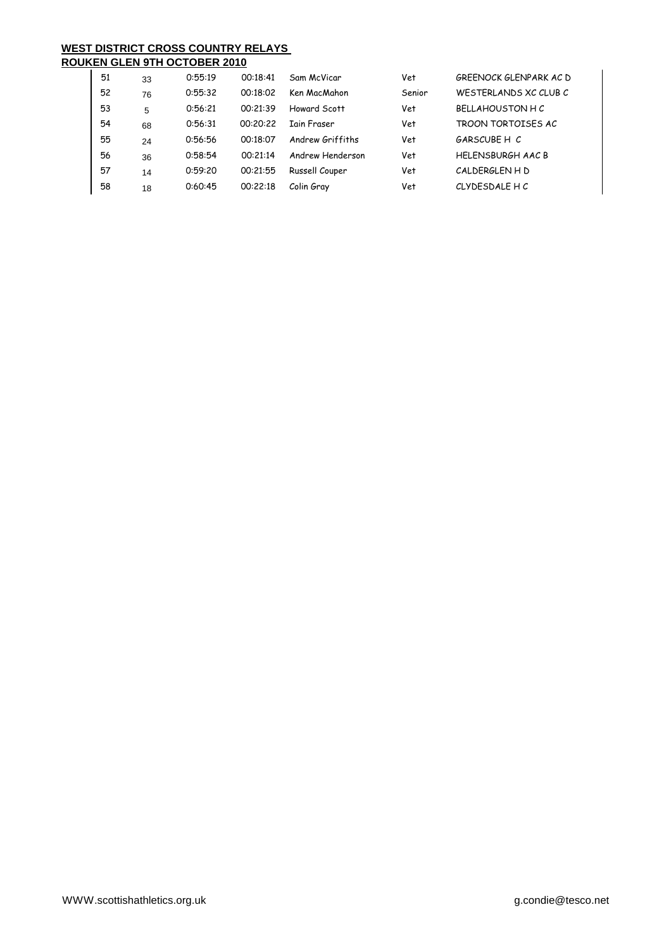# **WEST DISTRICT CROSS COUNTRY RELAYS**

| <b>ROUKEN GLEN 9TH OCTOBER 2010</b> |
|-------------------------------------|
|                                     |

| 51 | 33 | 0:55:19 | 00:18:41 | Sam McVicar        | Vet    | GREENOCK GLENPARK AC D   |
|----|----|---------|----------|--------------------|--------|--------------------------|
| 52 | 76 | 0:55:32 | 00:18:02 | Ken MacMahon       | Senior | WESTERLANDS XC CLUB C    |
| 53 | 5  | 0:56:21 | 00:21:39 | Howard Scott       | Vet    | <b>BELLAHOUSTON H C</b>  |
| 54 | 68 | 0:56:31 | 00:20:22 | <b>Iain Fraser</b> | Vet    | TROON TORTOISES AC       |
| 55 | 24 | 0:56:56 | 00:18:07 | Andrew Griffiths   | Vet    | GARSCUBF H C             |
| 56 | 36 | 0:58:54 | 00:21:14 | Andrew Henderson   | Vet    | <b>HELENSBURGH AAC B</b> |
| 57 | 14 | 0:59:20 | 00:21:55 | Russell Couper     | Vet    | CALDERGLEN H D           |
| 58 | 18 | 0:60:45 | 00:22:18 | Colin Gray         | Vet    | CLYDESDALE HC            |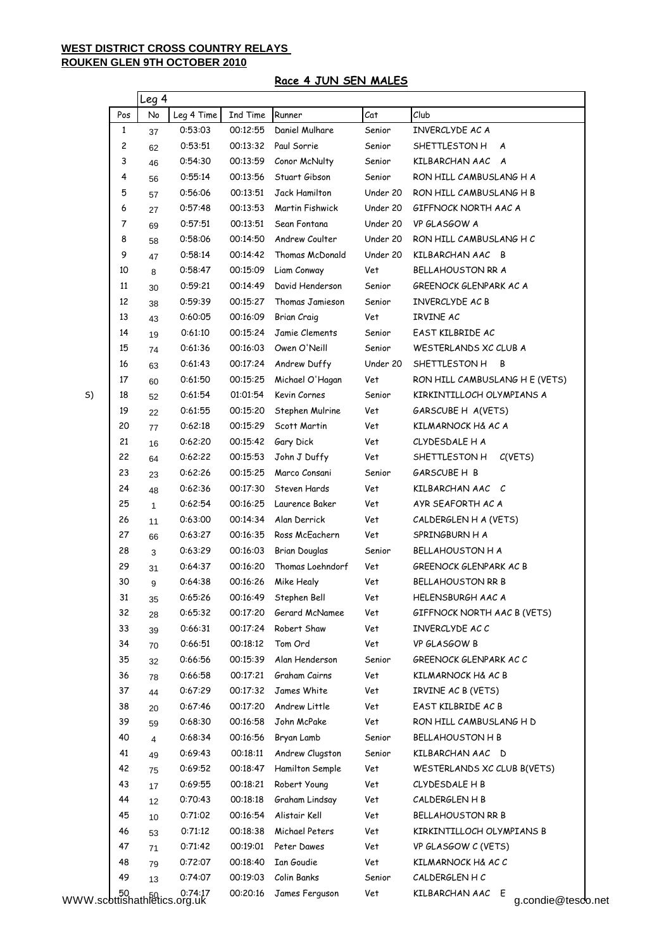## **Race 4 JUN SEN MALES**

|                                         |     | lLeg 4       |                    |          |                      |          |                                           |
|-----------------------------------------|-----|--------------|--------------------|----------|----------------------|----------|-------------------------------------------|
|                                         | Pos | No           | Leg 4 Time         | Ind Time | Runner               | Cat      | Club                                      |
|                                         | 1   | 37           | 0:53:03            | 00:12:55 | Daniel Mulhare       | Senior   | INVERCLYDE AC A                           |
|                                         | 2   | 62           | 0:53:51            | 00:13:32 | Paul Sorrie          | Senior   | SHETTLESTON H A                           |
|                                         | 3   | 46           | 0:54:30            | 00:13:59 | Conor McNulty        | Senior   | KILBARCHAN AAC A                          |
|                                         | 4   | 56           | 0:55:14            | 00:13:56 | Stuart Gibson        | Senior   | RON HILL CAMBUSLANG H A                   |
|                                         | 5   | 57           | 0:56:06            | 00:13:51 | Jack Hamilton        | Under 20 | RON HILL CAMBUSLANG H B                   |
|                                         | 6   | 27           | 0:57:48            | 00:13:53 | Martin Fishwick      | Under 20 | GIFFNOCK NORTH AAC A                      |
|                                         | 7   | 69           | 0:57:51            | 00:13:51 | Sean Fontana         | Under 20 | VP GLASGOW A                              |
|                                         | 8   | 58           | 0:58:06            | 00:14:50 | Andrew Coulter       | Under 20 | RON HILL CAMBUSLANG HC                    |
|                                         | 9   | 47           | 0:58:14            | 00:14:42 | Thomas McDonald      | Under 20 | KILBARCHAN AAC B                          |
|                                         | 10  | 8            | 0:58:47            | 00:15:09 | Liam Conway          | Vet      | BELLAHOUSTON RR A                         |
|                                         | 11  | 30           | 0:59:21            | 00:14:49 | David Henderson      | Senior   | GREENOCK GLENPARK AC A                    |
|                                         | 12  | 38           | 0:59:39            | 00:15:27 | Thomas Jamieson      | Senior   | INVERCLYDE AC B                           |
|                                         | 13  | 43           | 0:60:05            | 00:16:09 | <b>Brian Craig</b>   | Vet      | IRVINE AC                                 |
|                                         | 14  | 19           | 0:61:10            | 00:15:24 | Jamie Clements       | Senior   | EAST KILBRIDE AC                          |
|                                         | 15  | 74           | 0:61:36            | 00:16:03 | Owen O'Neill         | Senior   | WESTERLANDS XC CLUB A                     |
|                                         | 16  | 63           | 0:61:43            | 00:17:24 | Andrew Duffy         | Under 20 | SHETTLESTON H B                           |
|                                         | 17  | 60           | 0:61:50            | 00:15:25 | Michael O'Hagan      | Vet      | RON HILL CAMBUSLANG H E (VETS)            |
| S)                                      | 18  | 52           | 0:61:54            | 01:01:54 | Kevin Cornes         | Senior   | KIRKINTILLOCH OLYMPIANS A                 |
|                                         | 19  | 22           | 0:61:55            | 00:15:20 | Stephen Mulrine      | Vet      | GARSCUBE H A(VETS)                        |
|                                         | 20  | 77           | 0:62:18            | 00:15:29 | Scott Martin         | Vet      | KILMARNOCK H& AC A                        |
|                                         | 21  | 16           | 0:62:20            | 00:15:42 | Gary Dick            | Vet      | CLYDESDALE H A                            |
|                                         | 22  |              | 0:62:22            | 00:15:53 | John J Duffy         | Vet      | SHETTLESTON H<br>C(VETS)                  |
|                                         | 23  | 64           | 0:62:26            | 00:15:25 | Marco Consani        | Senior   | GARSCUBE H B                              |
|                                         | 24  | 23           | 0:62:36            | 00:17:30 | Steven Hards         | Vet      | KILBARCHAN AAC C                          |
|                                         | 25  | 48           | 0:62:54            | 00:16:25 | Laurence Baker       | Vet      | AYR SEAFORTH AC A                         |
|                                         | 26  | $\mathbf{1}$ | 0:63:00            | 00:14:34 | Alan Derrick         | Vet      | CALDERGLEN H A (VETS)                     |
|                                         | 27  | 11           |                    | 00:16:35 |                      |          |                                           |
|                                         | 28  | 66           | 0:63:27<br>0:63:29 | 00:16:03 | Ross McEachern       | Vet      | SPRINGBURN H A<br><b>BELLAHOUSTON H A</b> |
|                                         |     | 3            |                    |          | <b>Brian Douglas</b> | Senior   | GREENOCK GLENPARK AC B                    |
|                                         | 29  | 31           | 0:64:37            | 00:16:20 | Thomas Loehndorf     | Vet      |                                           |
|                                         | 30  | 9            | 0:64:38            | 00:16:26 | Mike Healy           | Vet      | BELLAHOUSTON RR B                         |
|                                         | 31  | 35           | 0:65:26            | 00:16:49 | Stephen Bell         | Vet      | <b>HELENSBURGH AAC A</b>                  |
|                                         | 32  | 28           | 0:65:32            | 00:17:20 | Gerard McNamee       | Vet      | GIFFNOCK NORTH AAC B (VETS)               |
|                                         | 33  | 39           | 0:66:31            | 00:17:24 | Robert Shaw          | Vet      | INVERCLYDE AC C                           |
|                                         | 34  | 70           | 0:66:51            | 00:18:12 | Tom Ord              | Vet      | VP GLASGOW B                              |
|                                         | 35  | 32           | 0:66:56            | 00:15:39 | Alan Henderson       | Senior   | GREENOCK GLENPARK AC C                    |
|                                         | 36  | 78           | 0:66:58            | 00:17:21 | Graham Cairns        | Vet      | KILMARNOCK H& AC B                        |
|                                         | 37  | 44           | 0:67:29            | 00:17:32 | James White          | Vet      | IRVINE AC B (VETS)                        |
|                                         | 38  | 20           | 0:67:46            | 00:17:20 | Andrew Little        | Vet      | EAST KILBRIDE AC B                        |
|                                         | 39  | 59           | 0:68:30            | 00:16:58 | John McPake          | Vet      | RON HILL CAMBUSLANG H D                   |
|                                         | 40  | 4            | 0:68:34            | 00:16:56 | Bryan Lamb           | Senior   | <b>BELLAHOUSTON H B</b>                   |
|                                         | 41  | 49           | 0:69:43            | 00:18:11 | Andrew Clugston      | Senior   | KILBARCHAN AAC D                          |
|                                         | 42  | 75           | 0:69:52            | 00:18:47 | Hamilton Semple      | Vet      | WESTERLANDS XC CLUB B(VETS)               |
|                                         | 43  | 17           | 0:69:55            | 00:18:21 | Robert Young         | Vet      | CLYDESDALE H B                            |
|                                         | 44  | 12           | 0:70:43            | 00:18:18 | Graham Lindsay       | Vet      | CALDERGLEN H B                            |
|                                         | 45  | 10           | 0:71:02            | 00:16:54 | Alistair Kell        | Vet      | BELLAHOUSTON RR B                         |
|                                         | 46  | 53           | 0:71:12            | 00:18:38 | Michael Peters       | Vet      | KIRKINTILLOCH OLYMPIANS B                 |
|                                         | 47  | 71           | 0:71:42            | 00:19:01 | Peter Dawes          | Vet      | VP GLASGOW C (VETS)                       |
|                                         | 48  | 79           | 0:72:07            | 00:18:40 | Ian Goudie           | Vet      | KILMARNOCK H& AC C                        |
|                                         | 49  | 13           | 0:74:07            | 00:19:03 | Colin Banks          | Senior   | CALDERGLEN HC                             |
| 0:74:17<br>WWW.scottishathletics.org.uk |     |              | 0:74:17            | 00:20:16 | James Ferguson       | Vet      | KILBARCHAN AAC E<br>g.condie@tesco.net    |